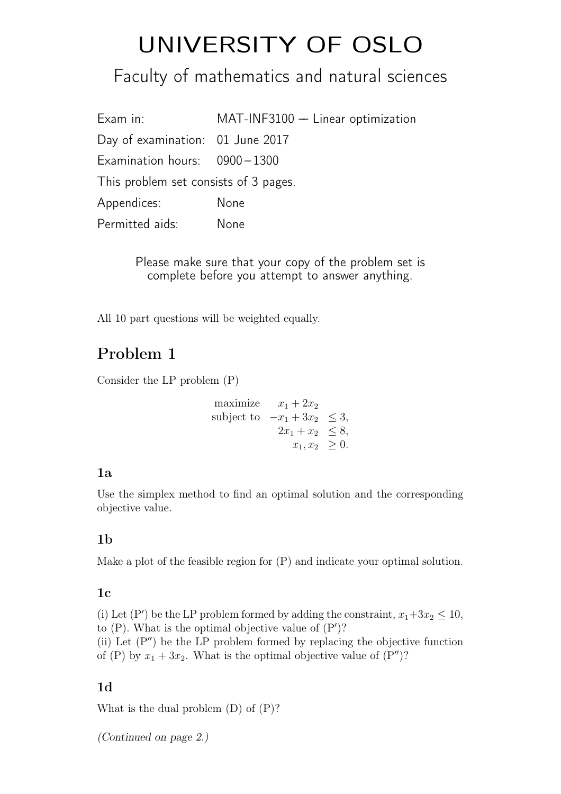# UNIVERSITY OF OSLO

# Faculty of mathematics and natural sciences

Exam in: MAT-INF3100 - Linear optimization Day of examination: 01 June 2017 Examination hours: 0900-1300 This problem set consists of 3 pages. Appendices: None Permitted aids: None

> Please make sure that your copy of the problem set is complete before you attempt to answer anything.

All 10 part questions will be weighted equally.

## Problem 1

Consider the LP problem (P)

maximize 
$$
x_1 + 2x_2
$$
  
subject to  $-x_1 + 3x_2 \le 3$ ,  
 $2x_1 + x_2 \le 8$ ,  
 $x_1, x_2 \ge 0$ .

### 1a

Use the simplex method to find an optimal solution and the corresponding objective value.

### 1b

Make a plot of the feasible region for (P) and indicate your optimal solution.

### $1<sub>c</sub>$

(i) Let (P') be the LP problem formed by adding the constraint,  $x_1+3x_2 \le 10$ , to  $(P)$ . What is the optimal objective value of  $(P')$ ? (ii) Let  $(P'')$  be the LP problem formed by replacing the objective function of (P) by  $x_1 + 3x_2$ . What is the optimal objective value of (P'')?

### 1d

What is the dual problem (D) of (P)?

(Continued on page 2.)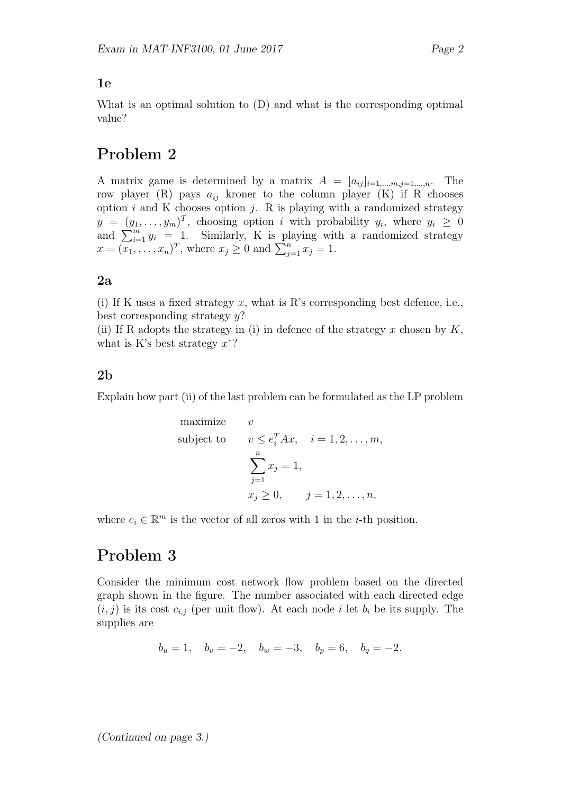### 1e

What is an optimal solution to (D) and what is the corresponding optimal value?

### Problem 2

A matrix game is determined by a matrix  $A = [a_{ij}]_{i=1,\dots,m,j=1,\dots,n}$ . The row player (R) pays  $a_{ij}$  kroner to the column player (K) if R chooses option  $i$  and K chooses option  $j$ . R is playing with a randomized strategy  $y = (y_1, \ldots, y_m)^T$ , choosing option i with probability  $y_i$ , where  $y_i \geq 0$ and  $\sum_{i=1}^{m} y_i = 1$ . Similarly, K is playing with a randomized strategy  $x = (\overline{x_1}, \dots, x_n)^T$ , where  $x_j \ge 0$  and  $\sum_{j=1}^n x_j = 1$ .

### 2a

(i) If K uses a fixed strategy x, what is R's corresponding best defence, i.e., best corresponding strategy  $y$ ?

(ii) If R adopts the strategy in (i) in defence of the strategy x chosen by  $K$ , what is K's best strategy  $x^*$ ?

### 2b

Explain how part (ii) of the last problem can be formulated as the LP problem

maximize 
$$
v
$$
  
\nsubject to  $v \le e_i^T Ax$ ,  $i = 1, 2, ..., m$ ,  
\n
$$
\sum_{j=1}^n x_j = 1,
$$
\n
$$
x_j \ge 0, \qquad j = 1, 2, ..., n,
$$

where  $e_i \in \mathbb{R}^m$  is the vector of all zeros with 1 in the *i*-th position.

### Problem 3

Consider the minimum cost network flow problem based on the directed graph shown in the figure. The number associated with each directed edge  $(i, j)$  is its cost  $c_{i,j}$  (per unit flow). At each node i let  $b_i$  be its supply. The supplies are

$$
b_u = 1
$$
,  $b_v = -2$ ,  $b_w = -3$ ,  $b_p = 6$ ,  $b_q = -2$ .